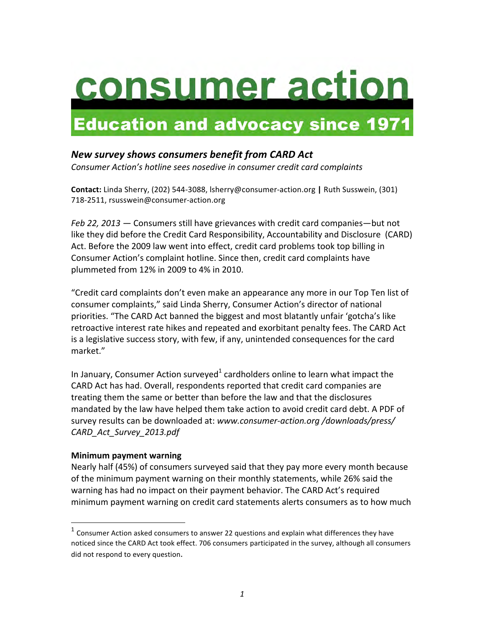# consumer action

# **Education and advocacy since 1971**

## *New survey shows consumers benefit from CARD Act*

*Consumer Action's hotline sees nosedive in consumer credit card complaints* 

**Contact:** Linda Sherry, (202) 544-3088, lsherry@consumer-action.org | Ruth Susswein, (301) 718-2511, rsusswein@consumer-action.org

*Feb 22, 2013* — Consumers still have grievances with credit card companies—but not like they did before the Credit Card Responsibility, Accountability and Disclosure (CARD) Act. Before the 2009 law went into effect, credit card problems took top billing in Consumer Action's complaint hotline. Since then, credit card complaints have plummeted from 12% in 2009 to 4% in 2010.

"Credit card complaints don't even make an appearance any more in our Top Ten list of consumer complaints," said Linda Sherry, Consumer Action's director of national priorities. "The CARD Act banned the biggest and most blatantly unfair 'gotcha's like retroactive interest rate hikes and repeated and exorbitant penalty fees. The CARD Act is a legislative success story, with few, if any, unintended consequences for the card market."

In January, Consumer Action surveyed<sup>1</sup> cardholders online to learn what impact the CARD Act has had. Overall, respondents reported that credit card companies are treating them the same or better than before the law and that the disclosures mandated by the law have helped them take action to avoid credit card debt. A PDF of survey results can be downloaded at: *www.consumer-action.org /downloads/press/ CARD\_Act\_Survey\_2013.pdf*

#### **Minimum payment warning**

 

Nearly half (45%) of consumers surveyed said that they pay more every month because of the minimum payment warning on their monthly statements, while 26% said the warning has had no impact on their payment behavior. The CARD Act's required minimum payment warning on credit card statements alerts consumers as to how much

 $1$  Consumer Action asked consumers to answer 22 questions and explain what differences they have noticed since the CARD Act took effect. 706 consumers participated in the survey, although all consumers did not respond to every question.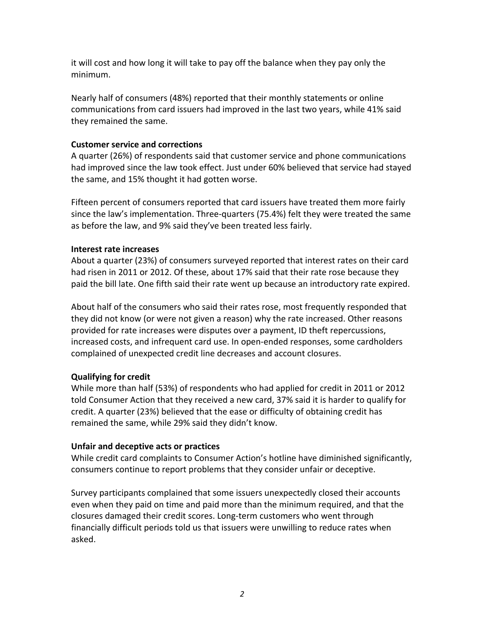it will cost and how long it will take to pay off the balance when they pay only the minimum.

Nearly half of consumers (48%) reported that their monthly statements or online communications from card issuers had improved in the last two years, while 41% said they remained the same.

#### **Customer service and corrections**

A quarter (26%) of respondents said that customer service and phone communications had improved since the law took effect. Just under 60% believed that service had stayed the same, and 15% thought it had gotten worse.

Fifteen percent of consumers reported that card issuers have treated them more fairly since the law's implementation. Three-quarters (75.4%) felt they were treated the same as before the law, and 9% said they've been treated less fairly.

#### **Interest rate increases**

About a quarter (23%) of consumers surveyed reported that interest rates on their card had risen in 2011 or 2012. Of these, about 17% said that their rate rose because they paid the bill late. One fifth said their rate went up because an introductory rate expired.

About half of the consumers who said their rates rose, most frequently responded that they did not know (or were not given a reason) why the rate increased. Other reasons provided for rate increases were disputes over a payment, ID theft repercussions, increased costs, and infrequent card use. In open-ended responses, some cardholders complained of unexpected credit line decreases and account closures.

### **Qualifying for credit**

While more than half (53%) of respondents who had applied for credit in 2011 or 2012 told Consumer Action that they received a new card, 37% said it is harder to qualify for credit. A quarter (23%) believed that the ease or difficulty of obtaining credit has remained the same, while 29% said they didn't know.

#### **Unfair and deceptive acts or practices**

While credit card complaints to Consumer Action's hotline have diminished significantly, consumers continue to report problems that they consider unfair or deceptive.

Survey participants complained that some issuers unexpectedly closed their accounts even when they paid on time and paid more than the minimum required, and that the closures damaged their credit scores. Long-term customers who went through financially difficult periods told us that issuers were unwilling to reduce rates when asked.